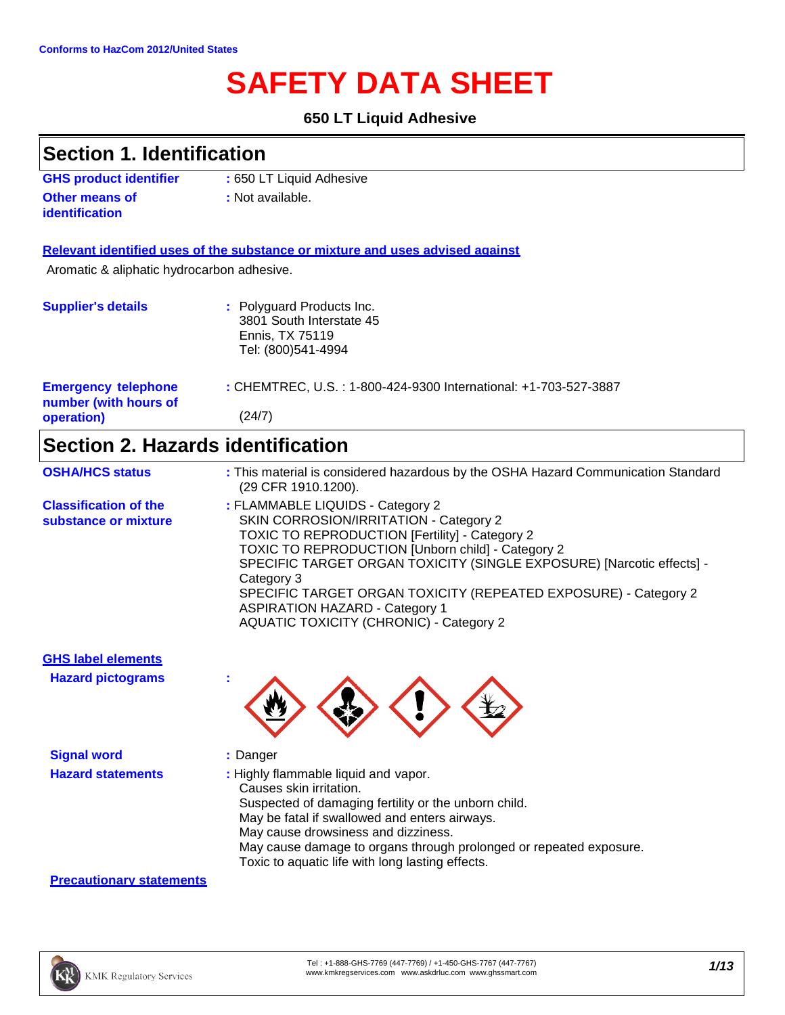# **SAFETY DATA SHEET**

### **650 LT Liquid Adhesive**

## **Section 1. Identification**

| <b>GHS product identifier</b> | : 650 LT Liquid Adhesive |
|-------------------------------|--------------------------|
| <b>Other means of</b>         | : Not available.         |
| <i>identification</i>         |                          |

### **Relevant identified uses of the substance or mixture and uses advised against**

Aromatic & aliphatic hydrocarbon adhesive.

### **Section 2. Hazards identification**

| <b>OSHA/HCS status</b>                               | : This material is considered hazardous by the OSHA Hazard Communication Standard<br>(29 CFR 1910.1200).                                                                                                                                                                                                                                                                                                                                             |
|------------------------------------------------------|------------------------------------------------------------------------------------------------------------------------------------------------------------------------------------------------------------------------------------------------------------------------------------------------------------------------------------------------------------------------------------------------------------------------------------------------------|
| <b>Classification of the</b><br>substance or mixture | : FLAMMABLE LIQUIDS - Category 2<br>SKIN CORROSION/IRRITATION - Category 2<br><b>TOXIC TO REPRODUCTION [Fertility] - Category 2</b><br><b>TOXIC TO REPRODUCTION [Unborn child] - Category 2</b><br>SPECIFIC TARGET ORGAN TOXICITY (SINGLE EXPOSURE) [Narcotic effects] -<br>Category 3<br>SPECIFIC TARGET ORGAN TOXICITY (REPEATED EXPOSURE) - Category 2<br><b>ASPIRATION HAZARD - Category 1</b><br><b>AQUATIC TOXICITY (CHRONIC) - Category 2</b> |

**GHS label elements Hazard pictograms :**

**Signal word :** Danger

- 
- **Hazard statements :** Highly flammable liquid and vapor. Causes skin irritation.

Suspected of damaging fertility or the unborn child.

- May be fatal if swallowed and enters airways.
- May cause drowsiness and dizziness.
- May cause damage to organs through prolonged or repeated exposure.
- Toxic to aquatic life with long lasting effects.

### **Precautionary statements**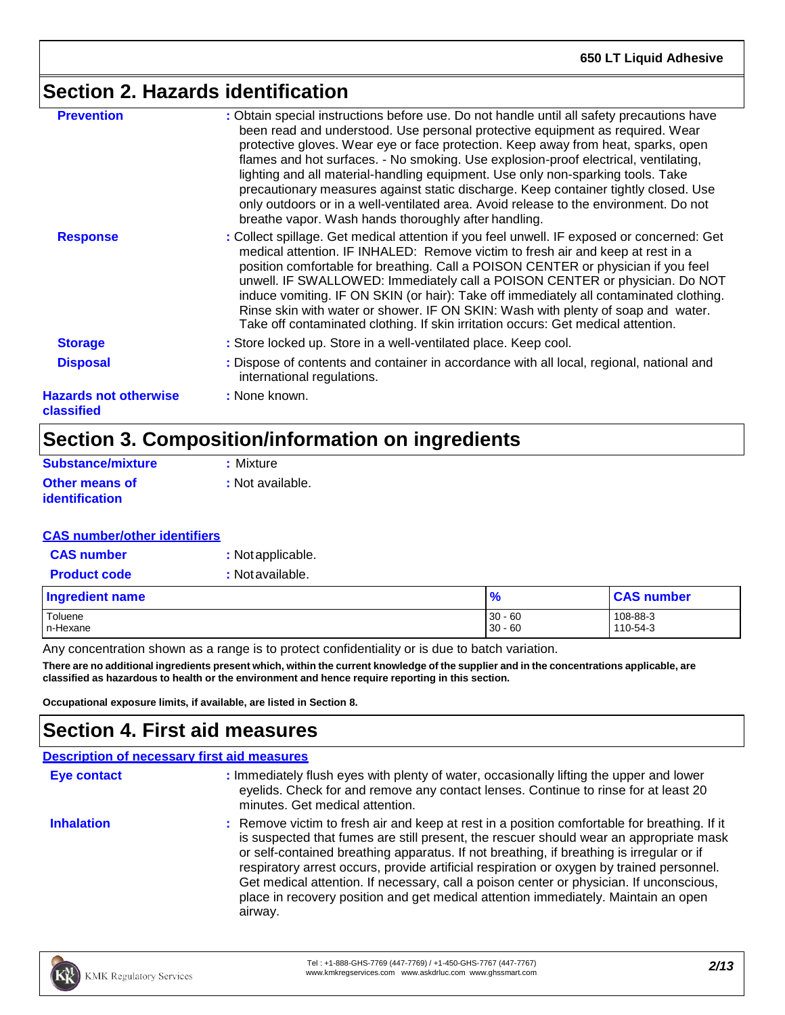# **Section 2. Hazards identification**

| <b>Prevention</b>                          | : Obtain special instructions before use. Do not handle until all safety precautions have                                                                                                                                                                                                                                                                                                                                                                                                                                                                                                                            |
|--------------------------------------------|----------------------------------------------------------------------------------------------------------------------------------------------------------------------------------------------------------------------------------------------------------------------------------------------------------------------------------------------------------------------------------------------------------------------------------------------------------------------------------------------------------------------------------------------------------------------------------------------------------------------|
|                                            | been read and understood. Use personal protective equipment as required. Wear<br>protective gloves. Wear eye or face protection. Keep away from heat, sparks, open<br>flames and hot surfaces. - No smoking. Use explosion-proof electrical, ventilating,<br>lighting and all material-handling equipment. Use only non-sparking tools. Take<br>precautionary measures against static discharge. Keep container tightly closed. Use<br>only outdoors or in a well-ventilated area. Avoid release to the environment. Do not<br>breathe vapor. Wash hands thoroughly after handling.                                  |
| <b>Response</b>                            | : Collect spillage. Get medical attention if you feel unwell. IF exposed or concerned: Get<br>medical attention. IF INHALED: Remove victim to fresh air and keep at rest in a<br>position comfortable for breathing. Call a POISON CENTER or physician if you feel<br>unwell. IF SWALLOWED: Immediately call a POISON CENTER or physician. Do NOT<br>induce vomiting. IF ON SKIN (or hair): Take off immediately all contaminated clothing.<br>Rinse skin with water or shower. IF ON SKIN: Wash with plenty of soap and water.<br>Take off contaminated clothing. If skin irritation occurs: Get medical attention. |
| <b>Storage</b>                             | : Store locked up. Store in a well-ventilated place. Keep cool.                                                                                                                                                                                                                                                                                                                                                                                                                                                                                                                                                      |
| <b>Disposal</b>                            | : Dispose of contents and container in accordance with all local, regional, national and<br>international regulations.                                                                                                                                                                                                                                                                                                                                                                                                                                                                                               |
| <b>Hazards not otherwise</b><br>classified | : None known.                                                                                                                                                                                                                                                                                                                                                                                                                                                                                                                                                                                                        |

# **Section 3. Composition/information on ingredients**

| Substance/mixture     | : Mixture        |
|-----------------------|------------------|
| <b>Other means of</b> | : Not available. |
| <i>identification</i> |                  |

### **CAS number/other identifiers**

| <b>CAS number</b>   | : Not applicable. |
|---------------------|-------------------|
| <b>Product code</b> | : Not available.  |

| <b>Ingredient name</b> | $\frac{1}{2}$ | <b>CAS number</b> |
|------------------------|---------------|-------------------|
| Toluene                | $30 - 60$     | 108-88-3          |
| In-Hexane              | $30 - 60$     | 110-54-3          |

Any concentration shown as a range is to protect confidentiality or is due to batch variation.

There are no additional ingredients present which, within the current knowledge of the supplier and in the concentrations applicable, are **classified as hazardous to health or the environment and hence require reporting in this section.**

**Occupational exposure limits, if available, are listed in Section 8.**

# **Section 4. First aid measures**

| <b>Description of necessary first aid measures</b> |                                                                                                                                                                                                                                                                                                                                                                                                                                                                                                                                                                             |
|----------------------------------------------------|-----------------------------------------------------------------------------------------------------------------------------------------------------------------------------------------------------------------------------------------------------------------------------------------------------------------------------------------------------------------------------------------------------------------------------------------------------------------------------------------------------------------------------------------------------------------------------|
| <b>Eye contact</b>                                 | : Immediately flush eyes with plenty of water, occasionally lifting the upper and lower<br>eyelids. Check for and remove any contact lenses. Continue to rinse for at least 20<br>minutes. Get medical attention.                                                                                                                                                                                                                                                                                                                                                           |
| <b>Inhalation</b>                                  | : Remove victim to fresh air and keep at rest in a position comfortable for breathing. If it<br>is suspected that fumes are still present, the rescuer should wear an appropriate mask<br>or self-contained breathing apparatus. If not breathing, if breathing is irregular or if<br>respiratory arrest occurs, provide artificial respiration or oxygen by trained personnel.<br>Get medical attention. If necessary, call a poison center or physician. If unconscious,<br>place in recovery position and get medical attention immediately. Maintain an open<br>airway. |

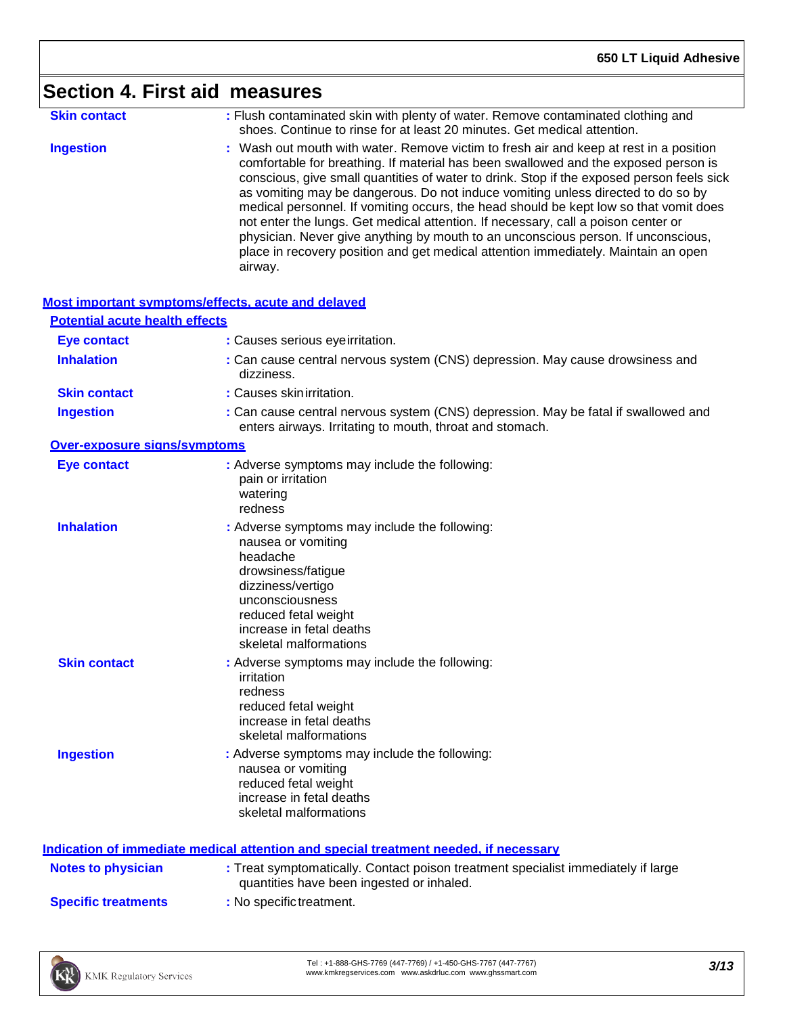|                                       | <b>Section 4. First aid measures</b>                                                                                                                                                                                                                                                                                                                                                                                                                                                                                                                                                                                                                                                                                               |
|---------------------------------------|------------------------------------------------------------------------------------------------------------------------------------------------------------------------------------------------------------------------------------------------------------------------------------------------------------------------------------------------------------------------------------------------------------------------------------------------------------------------------------------------------------------------------------------------------------------------------------------------------------------------------------------------------------------------------------------------------------------------------------|
| <b>Skin contact</b>                   | : Flush contaminated skin with plenty of water. Remove contaminated clothing and<br>shoes. Continue to rinse for at least 20 minutes. Get medical attention.                                                                                                                                                                                                                                                                                                                                                                                                                                                                                                                                                                       |
| <b>Ingestion</b>                      | : Wash out mouth with water. Remove victim to fresh air and keep at rest in a position<br>comfortable for breathing. If material has been swallowed and the exposed person is<br>conscious, give small quantities of water to drink. Stop if the exposed person feels sick<br>as vomiting may be dangerous. Do not induce vomiting unless directed to do so by<br>medical personnel. If vomiting occurs, the head should be kept low so that vomit does<br>not enter the lungs. Get medical attention. If necessary, call a poison center or<br>physician. Never give anything by mouth to an unconscious person. If unconscious,<br>place in recovery position and get medical attention immediately. Maintain an open<br>airway. |
|                                       | Most important symptoms/effects, acute and delayed                                                                                                                                                                                                                                                                                                                                                                                                                                                                                                                                                                                                                                                                                 |
| <b>Potential acute health effects</b> |                                                                                                                                                                                                                                                                                                                                                                                                                                                                                                                                                                                                                                                                                                                                    |
| <b>Eye contact</b>                    | : Causes serious eyeirritation.                                                                                                                                                                                                                                                                                                                                                                                                                                                                                                                                                                                                                                                                                                    |
| <b>Inhalation</b>                     | : Can cause central nervous system (CNS) depression. May cause drowsiness and<br>dizziness.                                                                                                                                                                                                                                                                                                                                                                                                                                                                                                                                                                                                                                        |
| <b>Skin contact</b>                   | : Causes skin irritation.                                                                                                                                                                                                                                                                                                                                                                                                                                                                                                                                                                                                                                                                                                          |
| <b>Ingestion</b>                      | : Can cause central nervous system (CNS) depression. May be fatal if swallowed and<br>enters airways. Irritating to mouth, throat and stomach.                                                                                                                                                                                                                                                                                                                                                                                                                                                                                                                                                                                     |
| Over-exposure signs/symptoms          |                                                                                                                                                                                                                                                                                                                                                                                                                                                                                                                                                                                                                                                                                                                                    |
| <b>Eye contact</b>                    | : Adverse symptoms may include the following:<br>pain or irritation<br>watering<br>redness                                                                                                                                                                                                                                                                                                                                                                                                                                                                                                                                                                                                                                         |
| <b>Inhalation</b>                     | : Adverse symptoms may include the following:<br>nausea or vomiting<br>headache<br>drowsiness/fatigue<br>dizziness/vertigo<br>unconsciousness<br>reduced fetal weight<br>increase in fetal deaths<br>skeletal malformations                                                                                                                                                                                                                                                                                                                                                                                                                                                                                                        |
| <b>Skin contact</b>                   | : Adverse symptoms may include the following:<br>irritation<br>redness<br>reduced fetal weight<br>increase in fetal deaths<br>skeletal malformations                                                                                                                                                                                                                                                                                                                                                                                                                                                                                                                                                                               |
| <b>Ingestion</b>                      | : Adverse symptoms may include the following:<br>nausea or vomiting<br>reduced fetal weight<br>increase in fetal deaths<br>skeletal malformations                                                                                                                                                                                                                                                                                                                                                                                                                                                                                                                                                                                  |
|                                       | Indication of immediate medical attention and special treatment needed. if necessary                                                                                                                                                                                                                                                                                                                                                                                                                                                                                                                                                                                                                                               |
| <b>Notes to physician</b>             | : Treat symptomatically. Contact poison treatment specialist immediately if large<br>quantities have been ingested or inhaled.                                                                                                                                                                                                                                                                                                                                                                                                                                                                                                                                                                                                     |
|                                       |                                                                                                                                                                                                                                                                                                                                                                                                                                                                                                                                                                                                                                                                                                                                    |

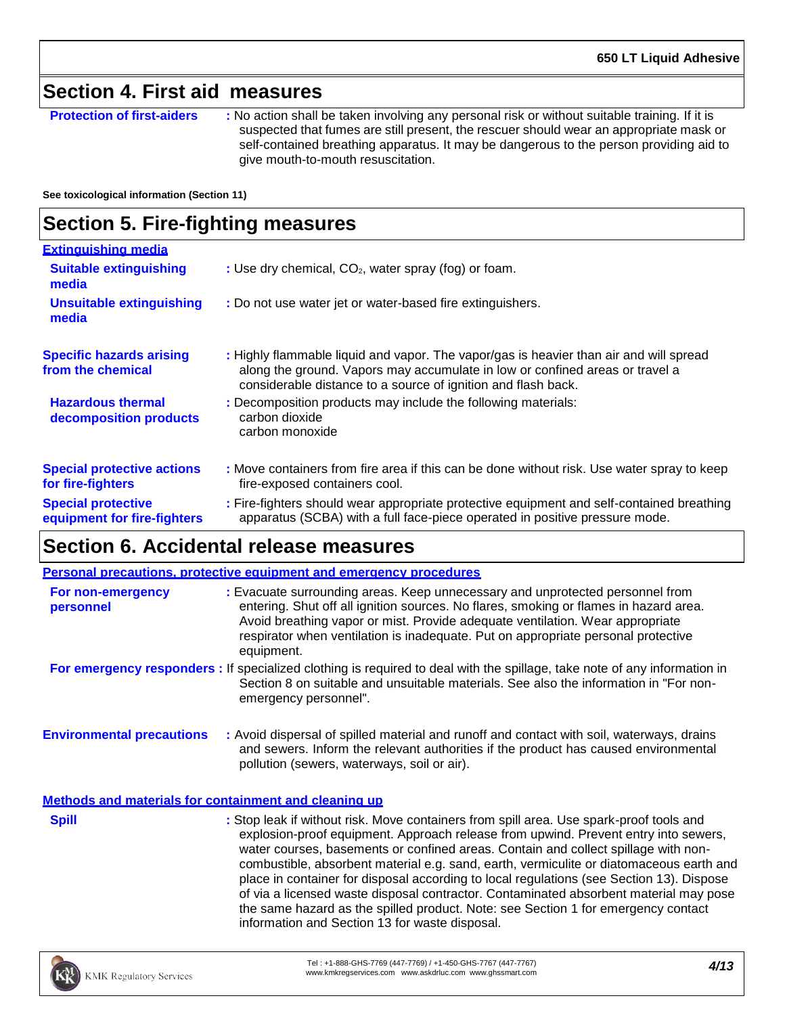## **Section 4. First aid measures**

**Protection of first-aiders :** No action shall be taken involving any personal risk or without suitable training. If it is suspected that fumes are still present, the rescuer should wear an appropriate mask or self-contained breathing apparatus. It may be dangerous to the person providing aid to give mouth-to-mouth resuscitation.

**See toxicological information (Section 11)**

## **Section 5. Fire-fighting measures**

| <b>Extinguishing media</b>                               |                                                                                                                                                                                                                                         |
|----------------------------------------------------------|-----------------------------------------------------------------------------------------------------------------------------------------------------------------------------------------------------------------------------------------|
| <b>Suitable extinguishing</b><br>media                   | : Use dry chemical, CO <sub>2</sub> , water spray (fog) or foam.                                                                                                                                                                        |
| <b>Unsuitable extinguishing</b><br>media                 | : Do not use water jet or water-based fire extinguishers.                                                                                                                                                                               |
| <b>Specific hazards arising</b><br>from the chemical     | : Highly flammable liquid and vapor. The vapor/gas is heavier than air and will spread<br>along the ground. Vapors may accumulate in low or confined areas or travel a<br>considerable distance to a source of ignition and flash back. |
| <b>Hazardous thermal</b><br>decomposition products       | : Decomposition products may include the following materials:<br>carbon dioxide<br>carbon monoxide                                                                                                                                      |
| <b>Special protective actions</b><br>for fire-fighters   | : Move containers from fire area if this can be done without risk. Use water spray to keep<br>fire-exposed containers cool.                                                                                                             |
| <b>Special protective</b><br>equipment for fire-fighters | : Fire-fighters should wear appropriate protective equipment and self-contained breathing<br>apparatus (SCBA) with a full face-piece operated in positive pressure mode.                                                                |

## **Section 6. Accidental release measures**

|                                                       | <b>Personal precautions, protective equipment and emergency procedures</b>                                                                                                                                                                                                                                                                                 |
|-------------------------------------------------------|------------------------------------------------------------------------------------------------------------------------------------------------------------------------------------------------------------------------------------------------------------------------------------------------------------------------------------------------------------|
| For non-emergency<br>personnel                        | : Evacuate surrounding areas. Keep unnecessary and unprotected personnel from<br>entering. Shut off all ignition sources. No flares, smoking or flames in hazard area.<br>Avoid breathing vapor or mist. Provide adequate ventilation. Wear appropriate<br>respirator when ventilation is inadequate. Put on appropriate personal protective<br>equipment. |
|                                                       | For emergency responders: If specialized clothing is required to deal with the spillage, take note of any information in<br>Section 8 on suitable and unsuitable materials. See also the information in "For non-<br>emergency personnel".                                                                                                                 |
| <b>Environmental precautions</b>                      | : Avoid dispersal of spilled material and runoff and contact with soil, waterways, drains<br>and sewers. Inform the relevant authorities if the product has caused environmental<br>pollution (sewers, waterways, soil or air).                                                                                                                            |
| Methods and materials for containment and cleaning up |                                                                                                                                                                                                                                                                                                                                                            |

**Spill Example 20 :** Stop leak if without risk. Move containers from spill area. Use spark-proof tools and explosion-proof equipment. Approach release from upwind. Prevent entry into sewers, water courses, basements or confined areas. Contain and collect spillage with noncombustible, absorbent material e.g. sand, earth, vermiculite or diatomaceous earth and place in container for disposal according to local regulations (see Section 13). Dispose of via a licensed waste disposal contractor. Contaminated absorbent material may pose the same hazard as the spilled product. Note: see Section 1 for emergency contact information and Section 13 for waste disposal.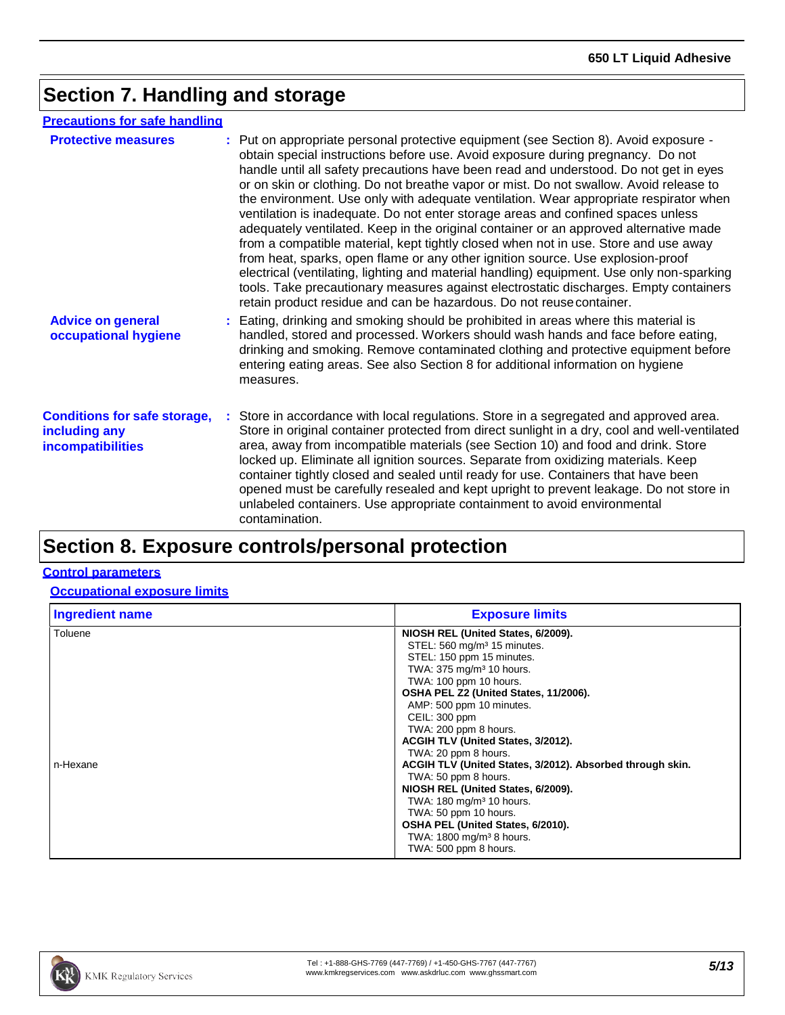# **Section 7. Handling and storage**

| <b>Precautions for safe handling</b>                                      |                                                                                                                                                                                                                                                                                                                                                                                                                                                                                                                                                                                                                                                                                                                                                                                                                                                                                                                                                                                                                                                                          |
|---------------------------------------------------------------------------|--------------------------------------------------------------------------------------------------------------------------------------------------------------------------------------------------------------------------------------------------------------------------------------------------------------------------------------------------------------------------------------------------------------------------------------------------------------------------------------------------------------------------------------------------------------------------------------------------------------------------------------------------------------------------------------------------------------------------------------------------------------------------------------------------------------------------------------------------------------------------------------------------------------------------------------------------------------------------------------------------------------------------------------------------------------------------|
| <b>Protective measures</b>                                                | : Put on appropriate personal protective equipment (see Section 8). Avoid exposure -<br>obtain special instructions before use. Avoid exposure during pregnancy. Do not<br>handle until all safety precautions have been read and understood. Do not get in eyes<br>or on skin or clothing. Do not breathe vapor or mist. Do not swallow. Avoid release to<br>the environment. Use only with adequate ventilation. Wear appropriate respirator when<br>ventilation is inadequate. Do not enter storage areas and confined spaces unless<br>adequately ventilated. Keep in the original container or an approved alternative made<br>from a compatible material, kept tightly closed when not in use. Store and use away<br>from heat, sparks, open flame or any other ignition source. Use explosion-proof<br>electrical (ventilating, lighting and material handling) equipment. Use only non-sparking<br>tools. Take precautionary measures against electrostatic discharges. Empty containers<br>retain product residue and can be hazardous. Do not reuse container. |
| <b>Advice on general</b><br>occupational hygiene                          | : Eating, drinking and smoking should be prohibited in areas where this material is<br>handled, stored and processed. Workers should wash hands and face before eating,<br>drinking and smoking. Remove contaminated clothing and protective equipment before<br>entering eating areas. See also Section 8 for additional information on hygiene<br>measures.                                                                                                                                                                                                                                                                                                                                                                                                                                                                                                                                                                                                                                                                                                            |
| <b>Conditions for safe storage,</b><br>including any<br>incompatibilities | Store in accordance with local regulations. Store in a segregated and approved area.<br>Store in original container protected from direct sunlight in a dry, cool and well-ventilated<br>area, away from incompatible materials (see Section 10) and food and drink. Store<br>locked up. Eliminate all ignition sources. Separate from oxidizing materials. Keep<br>container tightly closed and sealed until ready for use. Containers that have been<br>opened must be carefully resealed and kept upright to prevent leakage. Do not store in<br>unlabeled containers. Use appropriate containment to avoid environmental<br>contamination.                                                                                                                                                                                                                                                                                                                                                                                                                           |

# **Section 8. Exposure controls/personal protection**

### **Control parameters**

**Occupational exposure limits**

| <b>Ingredient name</b> | <b>Exposure limits</b>                                    |
|------------------------|-----------------------------------------------------------|
| Toluene                | NIOSH REL (United States, 6/2009).                        |
|                        | STEL: 560 mg/m <sup>3</sup> 15 minutes.                   |
|                        | STEL: 150 ppm 15 minutes.                                 |
|                        | TWA: 375 mg/m <sup>3</sup> 10 hours.                      |
|                        | TWA: 100 ppm 10 hours.                                    |
|                        | OSHA PEL Z2 (United States, 11/2006).                     |
|                        | AMP: 500 ppm 10 minutes.                                  |
|                        | CEIL: 300 ppm                                             |
|                        | TWA: 200 ppm 8 hours.                                     |
|                        | ACGIH TLV (United States, 3/2012).                        |
|                        | TWA: 20 ppm 8 hours.                                      |
| n-Hexane               | ACGIH TLV (United States, 3/2012). Absorbed through skin. |
|                        | TWA: 50 ppm 8 hours.                                      |
|                        | NIOSH REL (United States, 6/2009).                        |
|                        | TWA: 180 mg/m <sup>3</sup> 10 hours.                      |
|                        | TWA: 50 ppm 10 hours.                                     |
|                        | OSHA PEL (United States, 6/2010).                         |
|                        | TWA: 1800 mg/m <sup>3</sup> 8 hours.                      |
|                        | TWA: 500 ppm 8 hours.                                     |

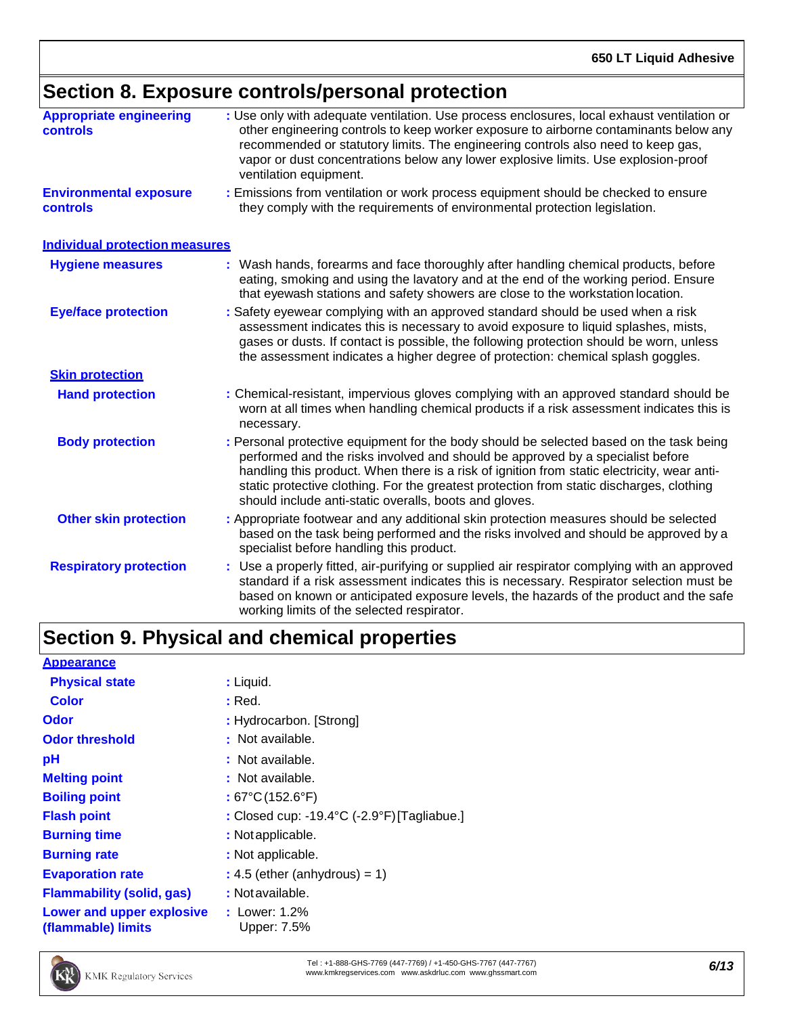# **Section 8. Exposure controls/personal protection**

| <b>Appropriate engineering</b><br><b>controls</b> | : Use only with adequate ventilation. Use process enclosures, local exhaust ventilation or<br>other engineering controls to keep worker exposure to airborne contaminants below any<br>recommended or statutory limits. The engineering controls also need to keep gas,<br>vapor or dust concentrations below any lower explosive limits. Use explosion-proof<br>ventilation equipment.                                        |
|---------------------------------------------------|--------------------------------------------------------------------------------------------------------------------------------------------------------------------------------------------------------------------------------------------------------------------------------------------------------------------------------------------------------------------------------------------------------------------------------|
| <b>Environmental exposure</b><br><b>controls</b>  | : Emissions from ventilation or work process equipment should be checked to ensure<br>they comply with the requirements of environmental protection legislation.                                                                                                                                                                                                                                                               |
| <b>Individual protection measures</b>             |                                                                                                                                                                                                                                                                                                                                                                                                                                |
| <b>Hygiene measures</b>                           | : Wash hands, forearms and face thoroughly after handling chemical products, before<br>eating, smoking and using the lavatory and at the end of the working period. Ensure<br>that eyewash stations and safety showers are close to the workstation location.                                                                                                                                                                  |
| <b>Eye/face protection</b>                        | : Safety eyewear complying with an approved standard should be used when a risk<br>assessment indicates this is necessary to avoid exposure to liquid splashes, mists,<br>gases or dusts. If contact is possible, the following protection should be worn, unless<br>the assessment indicates a higher degree of protection: chemical splash goggles.                                                                          |
| <b>Skin protection</b>                            |                                                                                                                                                                                                                                                                                                                                                                                                                                |
| <b>Hand protection</b>                            | : Chemical-resistant, impervious gloves complying with an approved standard should be<br>worn at all times when handling chemical products if a risk assessment indicates this is<br>necessary.                                                                                                                                                                                                                                |
| <b>Body protection</b>                            | : Personal protective equipment for the body should be selected based on the task being<br>performed and the risks involved and should be approved by a specialist before<br>handling this product. When there is a risk of ignition from static electricity, wear anti-<br>static protective clothing. For the greatest protection from static discharges, clothing<br>should include anti-static overalls, boots and gloves. |
| <b>Other skin protection</b>                      | : Appropriate footwear and any additional skin protection measures should be selected<br>based on the task being performed and the risks involved and should be approved by a<br>specialist before handling this product.                                                                                                                                                                                                      |
| <b>Respiratory protection</b>                     | : Use a properly fitted, air-purifying or supplied air respirator complying with an approved<br>standard if a risk assessment indicates this is necessary. Respirator selection must be<br>based on known or anticipated exposure levels, the hazards of the product and the safe<br>working limits of the selected respirator.                                                                                                |
|                                                   |                                                                                                                                                                                                                                                                                                                                                                                                                                |

# **Section 9. Physical and chemical properties**

| <b>Appearance</b>                               |                                             |
|-------------------------------------------------|---------------------------------------------|
| <b>Physical state</b>                           | : Liquid.                                   |
| <b>Color</b>                                    | : Red.                                      |
| <b>Odor</b>                                     | : Hydrocarbon. [Strong]                     |
| <b>Odor threshold</b>                           | : Not available.                            |
| рH                                              | : Not available.                            |
| <b>Melting point</b>                            | : Not available.                            |
| <b>Boiling point</b>                            | : 67°C (152.6°F)                            |
| <b>Flash point</b>                              | : Closed cup: -19.4°C (-2.9°F) [Tagliabue.] |
| <b>Burning time</b>                             | : Not applicable.                           |
| <b>Burning rate</b>                             | : Not applicable.                           |
| <b>Evaporation rate</b>                         | $: 4.5$ (ether (anhydrous) = 1)             |
| <b>Flammability (solid, gas)</b>                | : Not available.                            |
| Lower and upper explosive<br>(flammable) limits | : Lower: $1.2\%$<br>Upper: 7.5%             |



Tel : +1-888-GHS-7769 (447-7769) / +1-450-GHS-7767 (447-7767) Tel : +1-888-GHS-7769 (447-7769) / +1-450-GHS-7767 (447-7767)<br>[www.kmkregservices.com](http://www.kmkregservices.com/) [www.askdrluc.com](http://www.askdrluc.com/) [www.ghssmart.com](http://www.ghssmart.com/)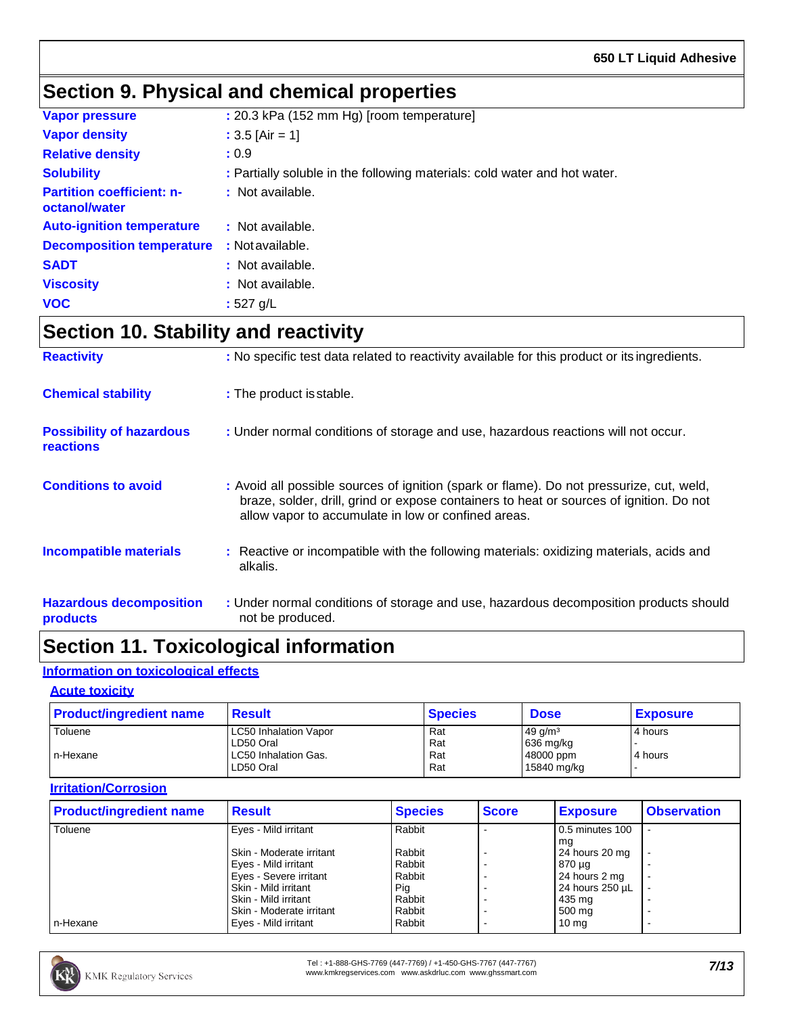# **Section 9. Physical and chemical properties**

| <b>Vapor pressure</b>                             | : 20.3 kPa (152 mm Hg) [room temperature]                                 |
|---------------------------------------------------|---------------------------------------------------------------------------|
| <b>Vapor density</b>                              | : $3.5$ [Air = 1]                                                         |
| <b>Relative density</b>                           | : 0.9                                                                     |
| <b>Solubility</b>                                 | : Partially soluble in the following materials: cold water and hot water. |
| <b>Partition coefficient: n-</b><br>octanol/water | : Not available.                                                          |
| <b>Auto-ignition temperature</b>                  | : Not available.                                                          |
| <b>Decomposition temperature</b>                  | : Not available.                                                          |
| <b>SADT</b>                                       | : Not available.                                                          |
| <b>Viscosity</b>                                  | : Not available.                                                          |
| <b>VOC</b>                                        | : $527$ g/L                                                               |

## **Section 10. Stability and reactivity**

| <b>Reactivity</b>                            | : No specific test data related to reactivity available for this product or its ingredients.                                                                                                                                               |
|----------------------------------------------|--------------------------------------------------------------------------------------------------------------------------------------------------------------------------------------------------------------------------------------------|
| <b>Chemical stability</b>                    | : The product is stable.                                                                                                                                                                                                                   |
| <b>Possibility of hazardous</b><br>reactions | : Under normal conditions of storage and use, hazardous reactions will not occur.                                                                                                                                                          |
| <b>Conditions to avoid</b>                   | : Avoid all possible sources of ignition (spark or flame). Do not pressurize, cut, weld,<br>braze, solder, drill, grind or expose containers to heat or sources of ignition. Do not<br>allow vapor to accumulate in low or confined areas. |
| <b>Incompatible materials</b>                | : Reactive or incompatible with the following materials: oxidizing materials, acids and<br>alkalis.                                                                                                                                        |
| <b>Hazardous decomposition</b><br>products   | : Under normal conditions of storage and use, hazardous decomposition products should<br>not be produced.                                                                                                                                  |

## **Section 11. Toxicological information**

### **Information on toxicological effects**

### **Acute toxicity**

| <b>Product/ingredient name</b> | <b>Result</b>                                                                  | <b>Species</b>           | <b>Dose</b>                                                 | <b>Exposure</b>      |
|--------------------------------|--------------------------------------------------------------------------------|--------------------------|-------------------------------------------------------------|----------------------|
| Toluene<br>In-Hexane           | <b>LC50 Inhalation Vapor</b><br>LD50 Oral<br>LC50 Inhalation Gas.<br>LD50 Oral | Rat<br>Rat<br>Rat<br>Rat | $49 \frac{q}{m^3}$<br>636 mg/kg<br>48000 ppm<br>15840 mg/kg | 4 hours<br>l 4 hours |

### **Irritation/Corrosion**

| <b>Product/ingredient name</b> | <b>Result</b>            | <b>Species</b> | <b>Score</b> | <b>Exposure</b>  | <b>Observation</b> |
|--------------------------------|--------------------------|----------------|--------------|------------------|--------------------|
| Toluene                        | Eyes - Mild irritant     | Rabbit         |              | 0.5 minutes 100  |                    |
|                                |                          |                |              | ma               |                    |
|                                | Skin - Moderate irritant | Rabbit         |              | 24 hours 20 mg   |                    |
|                                | Eyes - Mild irritant     | Rabbit         |              | 870 µg           |                    |
|                                | Eyes - Severe irritant   | Rabbit         |              | 24 hours 2 mg    |                    |
|                                | Skin - Mild irritant     | Pig            |              | 24 hours 250 µL  |                    |
|                                | Skin - Mild irritant     | Rabbit         |              | 435 mg           |                    |
|                                | Skin - Moderate irritant | Rabbit         |              | 500 mg           |                    |
| n-Hexane                       | Eyes - Mild irritant     | Rabbit         |              | 10 <sub>mg</sub> |                    |

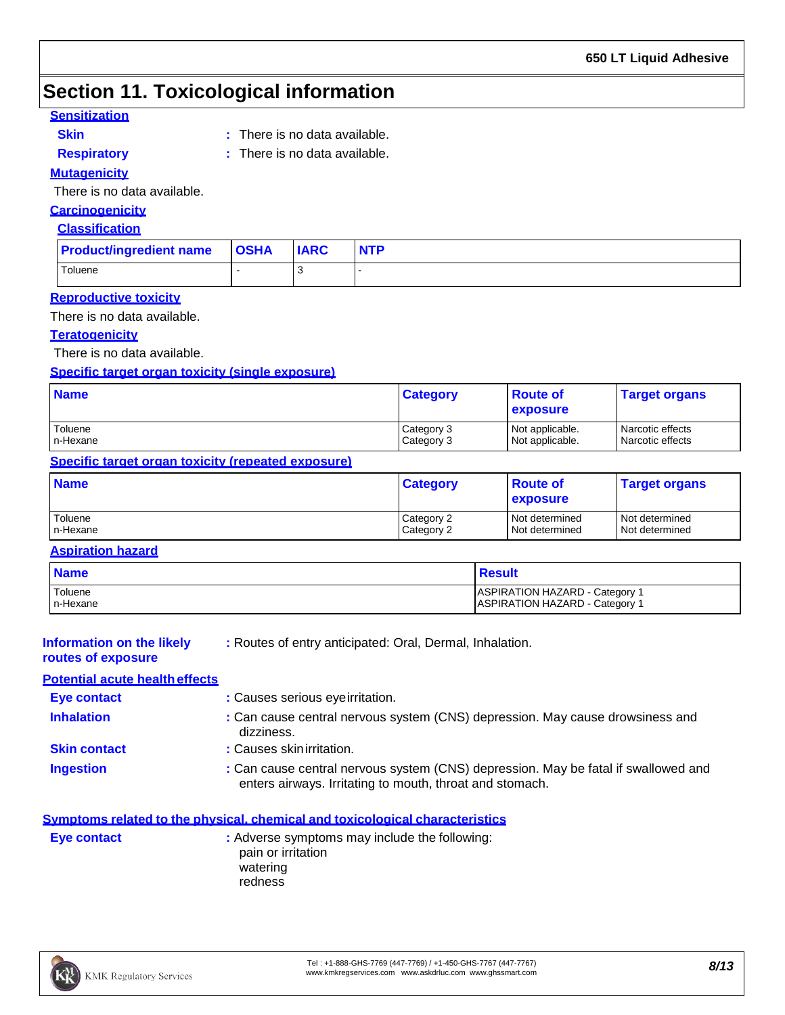# **Section 11. Toxicological information**

### **Sensitization**

**Skin :**

- **Respiratory :**
- : There is no data available.
- 
- : There is no data available.

### **Mutagenicity**

There is no data available.

### **Carcinogenicity**

### **Classification**

| <b>Product/ingredient name OSHA</b> | <b>IARC</b> | <b>NTP</b> |
|-------------------------------------|-------------|------------|
| Toluene                             |             |            |

### **Reproductive toxicity**

There is no data available.

### **Teratogenicity**

There is no data available.

### **Specific target organ toxicity (single exposure)**

| <b>Name</b> | <b>Category</b> | <b>Route of</b><br><b>exposure</b> | <b>Target organs</b> |
|-------------|-----------------|------------------------------------|----------------------|
| Toluene     | Category 3      | Not applicable.                    | Narcotic effects     |
| n-Hexane    | Category 3      | Not applicable.                    | Narcotic effects     |

### **Specific target organ toxicity (repeated exposure)**

| <b>Name</b> | <b>Category</b> | ∣ Route of<br><b>exposure</b> | <b>Target organs</b> |
|-------------|-----------------|-------------------------------|----------------------|
| Toluene     | Category 2      | Not determined                | Not determined       |
| In-Hexane   | Category 2      | Not determined                | l Not determined     |

### **Aspiration hazard**

| <b>Name</b> | <b>Result</b>                         |
|-------------|---------------------------------------|
| Toluene     | ASPIRATION HAZARD - Category 1        |
| n-Hexane    | <b>ASPIRATION HAZARD - Category 1</b> |

| <b>Information on the likely</b><br>routes of exposure | : Routes of entry anticipated: Oral, Dermal, Inhalation.                                    |
|--------------------------------------------------------|---------------------------------------------------------------------------------------------|
| <b>Potential acute health effects</b>                  |                                                                                             |
| Eye contact                                            | : Causes serious eye irritation.                                                            |
| <b>Inhalation</b>                                      | : Can cause central nervous system (CNS) depression. May cause drowsiness and<br>dizziness. |
| <b>Skin contact</b>                                    | : Causes skin irritation.                                                                   |

**Ingestion 10.1 Can cause central nervous system (CNS) depression. May be fatal if swallowed and** enters airways. Irritating to mouth, throat and stomach.

|             | Symptoms related to the physical, chemical and toxicological characteristics |
|-------------|------------------------------------------------------------------------------|
| Eye contact | : Adverse symptoms may include the following:                                |
|             | pain or irritation                                                           |
|             | watering                                                                     |
|             | redness                                                                      |

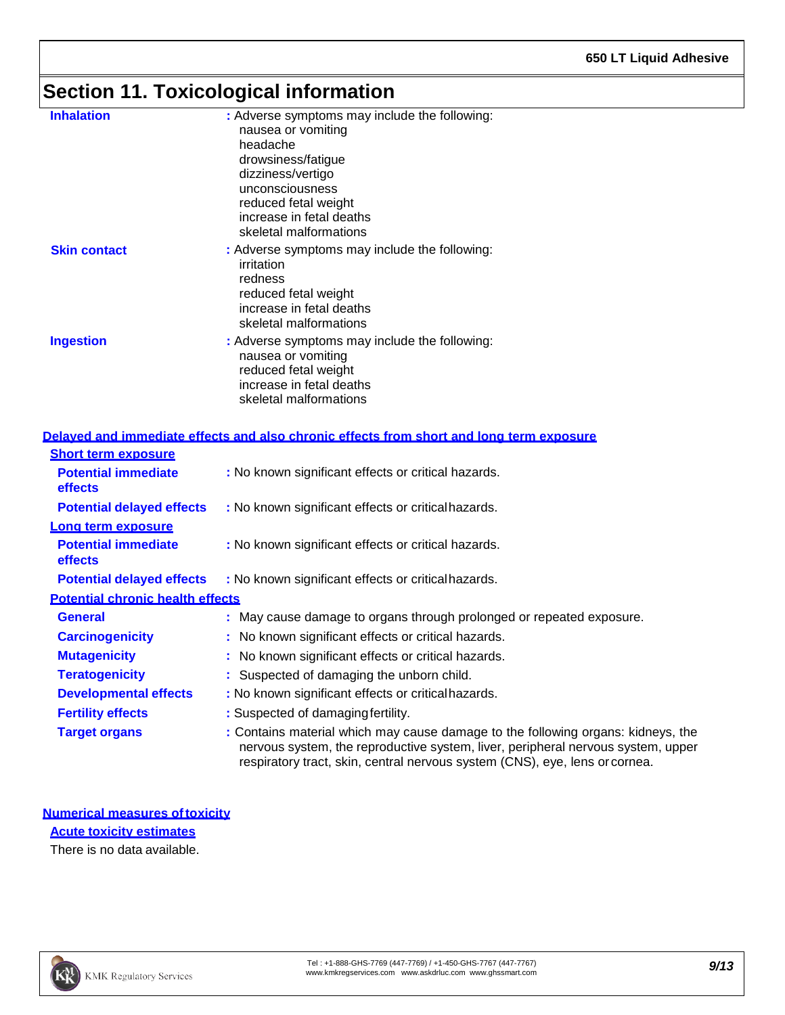# **Section 11. Toxicological information**

| <b>Inhalation</b>   | : Adverse symptoms may include the following:<br>nausea or vomiting<br>headache<br>drowsiness/fatigue<br>dizziness/vertigo<br>unconsciousness<br>reduced fetal weight<br>increase in fetal deaths<br>skeletal malformations |
|---------------------|-----------------------------------------------------------------------------------------------------------------------------------------------------------------------------------------------------------------------------|
| <b>Skin contact</b> | : Adverse symptoms may include the following:<br>irritation<br>redness<br>reduced fetal weight<br>increase in fetal deaths<br>skeletal malformations                                                                        |
| <b>Ingestion</b>    | : Adverse symptoms may include the following:<br>nausea or vomiting<br>reduced fetal weight<br>increase in fetal deaths<br>skeletal malformations                                                                           |

### **Delayed and immediate effects and also chronic effects from short and long term exposure**

| <b>Short term exposure</b>              |                                                                                                                                                                                                                                                     |
|-----------------------------------------|-----------------------------------------------------------------------------------------------------------------------------------------------------------------------------------------------------------------------------------------------------|
| <b>Potential immediate</b><br>effects   | : No known significant effects or critical hazards.                                                                                                                                                                                                 |
| <b>Potential delayed effects</b>        | : No known significant effects or critical hazards.                                                                                                                                                                                                 |
| Long term exposure                      |                                                                                                                                                                                                                                                     |
| <b>Potential immediate</b><br>effects   | : No known significant effects or critical hazards.                                                                                                                                                                                                 |
| <b>Potential delayed effects</b>        | : No known significant effects or critical hazards.                                                                                                                                                                                                 |
| <b>Potential chronic health effects</b> |                                                                                                                                                                                                                                                     |
| <b>General</b>                          | : May cause damage to organs through prolonged or repeated exposure.                                                                                                                                                                                |
| <b>Carcinogenicity</b>                  | : No known significant effects or critical hazards.                                                                                                                                                                                                 |
| <b>Mutagenicity</b>                     | : No known significant effects or critical hazards.                                                                                                                                                                                                 |
| <b>Teratogenicity</b>                   | : Suspected of damaging the unborn child.                                                                                                                                                                                                           |
| <b>Developmental effects</b>            | : No known significant effects or critical hazards.                                                                                                                                                                                                 |
| <b>Fertility effects</b>                | : Suspected of damaging fertility.                                                                                                                                                                                                                  |
| <b>Target organs</b>                    | : Contains material which may cause damage to the following organs: kidneys, the<br>nervous system, the reproductive system, liver, peripheral nervous system, upper<br>respiratory tract, skin, central nervous system (CNS), eye, lens or cornea. |

**Numerical measures oftoxicity Acute toxicity estimates** There is no data available.

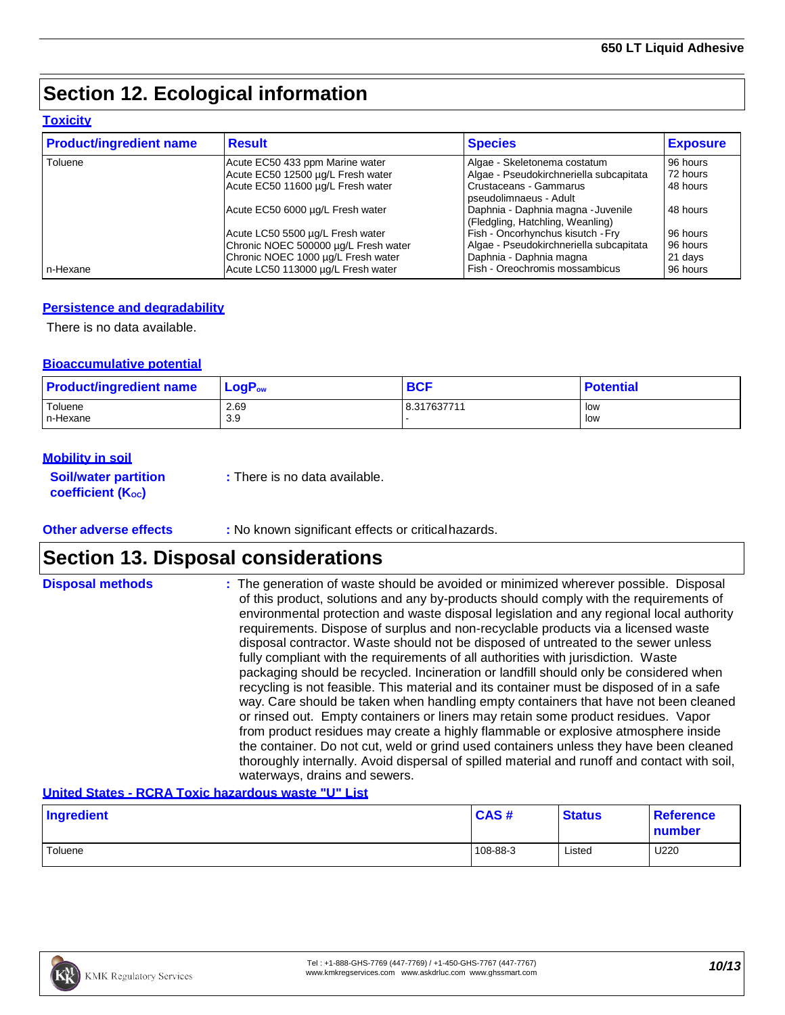# **Section 12. Ecological information**

### **Toxicity**

| <b>Product/ingredient name</b> | <b>Result</b>                        | <b>Species</b>                          | <b>Exposure</b> |
|--------------------------------|--------------------------------------|-----------------------------------------|-----------------|
| Toluene                        | Acute EC50 433 ppm Marine water      | Algae - Skeletonema costatum            | 96 hours        |
|                                | Acute EC50 12500 µg/L Fresh water    | Algae - Pseudokirchneriella subcapitata | 72 hours        |
|                                | Acute EC50 11600 µg/L Fresh water    | Crustaceans - Gammarus                  | 48 hours        |
|                                |                                      | pseudolimnaeus - Adult                  |                 |
|                                | Acute EC50 6000 µg/L Fresh water     | Daphnia - Daphnia magna - Juvenile      | 48 hours        |
|                                |                                      | (Fledgling, Hatchling, Weanling)        |                 |
|                                | Acute LC50 5500 µg/L Fresh water     | Fish - Oncorhynchus kisutch - Fry       | 96 hours        |
|                                | Chronic NOEC 500000 µg/L Fresh water | Algae - Pseudokirchneriella subcapitata | 96 hours        |
|                                | Chronic NOEC 1000 µg/L Fresh water   | Daphnia - Daphnia magna                 | 21 days         |
| n-Hexane                       | Acute LC50 113000 µg/L Fresh water   | Fish - Oreochromis mossambicus          | 96 hours        |

### **Persistence and degradability**

There is no data available.

### **Bioaccumulative potential**

| <b>Product/ingredient name</b> | $\mathsf{LogP}_\mathsf{ow}$ | <b>BCF</b>  | <b>Potential</b> |
|--------------------------------|-----------------------------|-------------|------------------|
| Toluene                        | 2.69                        | 8.317637711 | low              |
| In-Hexane                      | 3.9                         |             | low              |

### **Mobility in soil**

| <b>Soil/water partition</b>    | : There is no data available. |
|--------------------------------|-------------------------------|
| coefficient (K <sub>oc</sub> ) |                               |

### **Other adverse effects** : No known significant effects or critical hazards.

## **Section 13. Disposal considerations**

| <b>Disposal methods</b> | : The generation of waste should be avoided or minimized wherever possible. Disposal         |
|-------------------------|----------------------------------------------------------------------------------------------|
|                         | of this product, solutions and any by-products should comply with the requirements of        |
|                         | environmental protection and waste disposal legislation and any regional local authority     |
|                         | requirements. Dispose of surplus and non-recyclable products via a licensed waste            |
|                         | disposal contractor. Waste should not be disposed of untreated to the sewer unless           |
|                         | fully compliant with the requirements of all authorities with jurisdiction. Waste            |
|                         | packaging should be recycled. Incineration or landfill should only be considered when        |
|                         | recycling is not feasible. This material and its container must be disposed of in a safe     |
|                         | way. Care should be taken when handling empty containers that have not been cleaned          |
|                         | or rinsed out. Empty containers or liners may retain some product residues. Vapor            |
|                         | from product residues may create a highly flammable or explosive atmosphere inside           |
|                         | the container. Do not cut, weld or grind used containers unless they have been cleaned       |
|                         | thoroughly internally. Avoid dispersal of spilled material and runoff and contact with soil, |
|                         | waterways, drains and sewers.                                                                |

### **United States - RCRA Toxic hazardous waste "U" List**

| Ingredient | CAS#     | <b>Status</b> | <b>Reference</b><br>number |
|------------|----------|---------------|----------------------------|
| Toluene    | 108-88-3 | Listed        | U220                       |

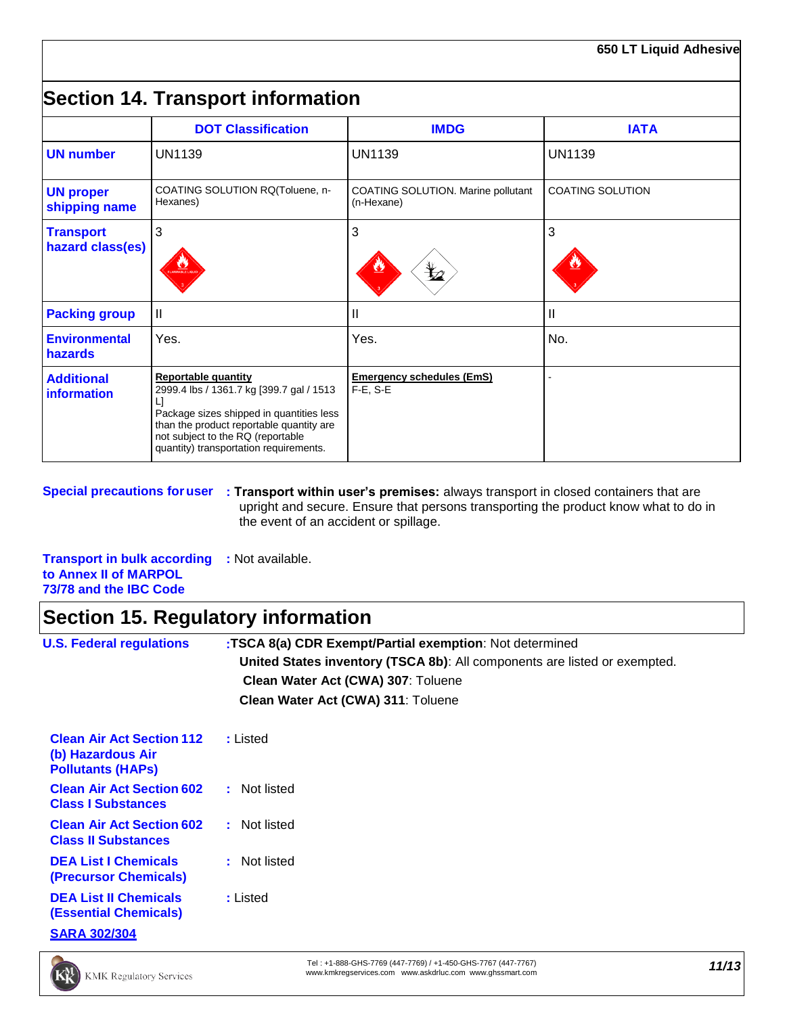# **Section 14. Transport information**

|                                      | <b>DOT Classification</b>                                                                                                                                                                                                                          | <b>IMDG</b>                                       | <b>IATA</b>             |
|--------------------------------------|----------------------------------------------------------------------------------------------------------------------------------------------------------------------------------------------------------------------------------------------------|---------------------------------------------------|-------------------------|
| <b>UN number</b>                     | <b>UN1139</b>                                                                                                                                                                                                                                      | <b>UN1139</b>                                     | <b>UN1139</b>           |
| <b>UN proper</b><br>shipping name    | COATING SOLUTION RQ(Toluene, n-<br>Hexanes)                                                                                                                                                                                                        | COATING SOLUTION. Marine pollutant<br>(n-Hexane)  | <b>COATING SOLUTION</b> |
| <b>Transport</b><br>hazard class(es) | 3                                                                                                                                                                                                                                                  | 3<br>⋭₫                                           | 3                       |
| <b>Packing group</b>                 | Ш                                                                                                                                                                                                                                                  | Ш                                                 | $\mathbf{I}$            |
| <b>Environmental</b><br>hazards      | Yes.                                                                                                                                                                                                                                               | Yes.                                              | No.                     |
| <b>Additional</b><br>information     | <b>Reportable quantity</b><br>2999.4 lbs / 1361.7 kg [399.7 gal / 1513<br>Ľ<br>Package sizes shipped in quantities less<br>than the product reportable quantity are<br>not subject to the RQ (reportable<br>quantity) transportation requirements. | <b>Emergency schedules (EmS)</b><br>$F-E$ , $S-E$ |                         |

**Special precautions foruser : Transport within user's premises:** always transport in closed containers that are upright and secure. Ensure that persons transporting the product know what to do in the event of an accident or spillage.

**Transport in bulk according :** Not available. **to Annex II of MARPOL 73/78 and the IBC Code**

# **Section 15. Regulatory information**

| <b>U.S. Federal regulations</b>                                                     | :TSCA 8(a) CDR Exempt/Partial exemption: Not determined<br>United States inventory (TSCA 8b): All components are listed or exempted.<br>Clean Water Act (CWA) 307: Toluene<br>Clean Water Act (CWA) 311: Toluene |  |  |  |
|-------------------------------------------------------------------------------------|------------------------------------------------------------------------------------------------------------------------------------------------------------------------------------------------------------------|--|--|--|
| <b>Clean Air Act Section 112</b><br>(b) Hazardous Air<br><b>Pollutants (HAPS)</b>   | : Listed                                                                                                                                                                                                         |  |  |  |
| <b>Clean Air Act Section 602</b><br><b>Class I Substances</b>                       | : Not listed                                                                                                                                                                                                     |  |  |  |
| <b>Clean Air Act Section 602</b><br><b>Class II Substances</b>                      | : Not listed                                                                                                                                                                                                     |  |  |  |
| <b>DEA List I Chemicals</b><br><b>(Precursor Chemicals)</b>                         | : Not listed                                                                                                                                                                                                     |  |  |  |
| <b>DEA List II Chemicals</b><br><b>(Essential Chemicals)</b><br><b>SARA 302/304</b> | : Listed                                                                                                                                                                                                         |  |  |  |

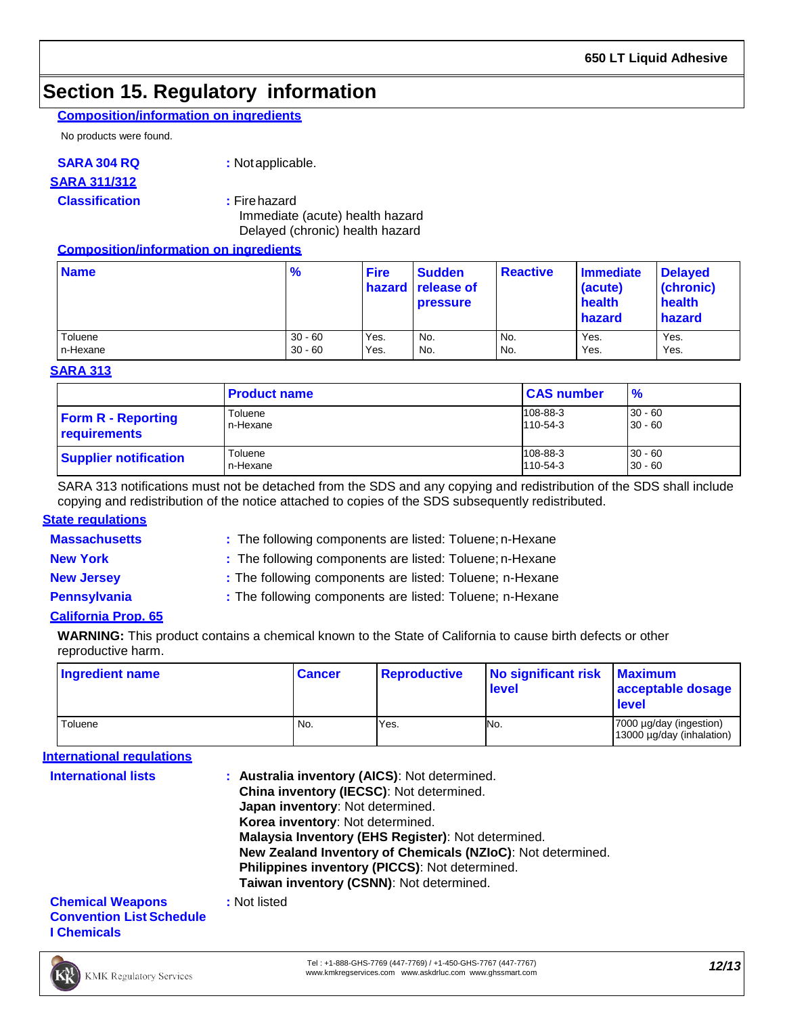## **Section 15. Regulatory information**

### **Composition/information on ingredients**

No products were found.

### **SARA 304 RQ :** Notapplicable.

### **SARA 311/312**

### **Classification :** Firehazard

Immediate (acute) health hazard Delayed (chronic) health hazard

### **Composition/information on ingredients**

| <b>Name</b> | $\frac{9}{6}$ | <b>Fire</b> | <b>Sudden</b><br><b>hazard</b> release of<br><b>pressure</b> | <b>Reactive</b> | Immediate<br>(acute)<br>health<br><b>hazard</b> | <b>Delayed</b><br>(chronic)<br>health<br>hazard |
|-------------|---------------|-------------|--------------------------------------------------------------|-----------------|-------------------------------------------------|-------------------------------------------------|
| Toluene     | $30 - 60$     | Yes.        | No.                                                          | No.             | Yes.                                            | Yes.                                            |
| n-Hexane    | $30 - 60$     | Yes.        | No.                                                          | No.             | Yes.                                            | Yes.                                            |

### **SARA 313**

|                              | <b>Product name</b> | <b>CAS number</b> | $\frac{9}{6}$ |
|------------------------------|---------------------|-------------------|---------------|
| <b>Form R - Reporting</b>    | Toluene             | 108-88-3          | $30 - 60$     |
| requirements                 | n-Hexane            | 110-54-3          | $30 - 60$     |
| <b>Supplier notification</b> | Toluene             | 108-88-3          | $30 - 60$     |
|                              | n-Hexane            | 110-54-3          | $30 - 60$     |

SARA 313 notifications must not be detached from the SDS and any copying and redistribution of the SDS shall include copying and redistribution of the notice attached to copies of the SDS subsequently redistributed.

### **State regulations**

**Massachusetts :** The following components are listed: Toluene; n-Hexane

**New York : The following components are listed: Toluene; n-Hexane** 

**New Jersey :** The following components are listed: Toluene; n-Hexane

**Pennsylvania :** The following components are listed: Toluene; n-Hexane

### **California Prop. 65**

**WARNING:** This product contains a chemical known to the State of California to cause birth defects or other reproductive harm.

| <b>Ingredient name</b> | <b>Cancer</b> | <b>Reproductive</b> | No significant risk<br>level | <b>Maximum</b><br>acceptable dosage<br>level         |
|------------------------|---------------|---------------------|------------------------------|------------------------------------------------------|
| Toluene                | No.           | Yes.                | No.                          | 7000 µg/day (ingestion)<br>13000 µg/day (inhalation) |

### **International regulations**

| <b>International lists</b>                                 | : Australia inventory (AICS): Not determined.<br>China inventory (IECSC): Not determined.<br>Japan inventory: Not determined.<br>Korea inventory: Not determined.<br>Malaysia Inventory (EHS Register): Not determined.<br>New Zealand Inventory of Chemicals (NZIoC): Not determined.<br>Philippines inventory (PICCS): Not determined.<br>Taiwan inventory (CSNN): Not determined. |
|------------------------------------------------------------|--------------------------------------------------------------------------------------------------------------------------------------------------------------------------------------------------------------------------------------------------------------------------------------------------------------------------------------------------------------------------------------|
| <b>Chemical Weapons</b><br><b>Convention List Schedule</b> | : Not listed                                                                                                                                                                                                                                                                                                                                                                         |

**I Chemicals**